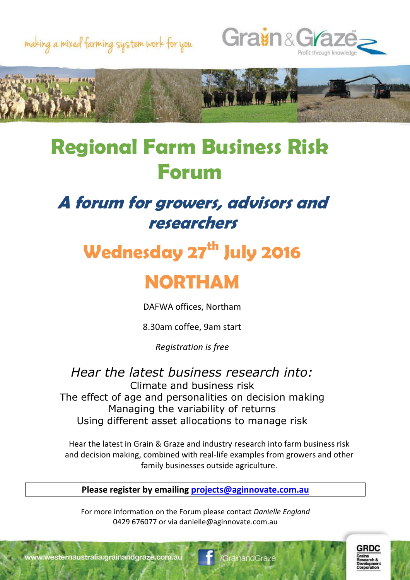





## **Regional Farm Business Risk Forum**

#### **A forum for growers, advisors and researchers**

# **Wednesday 27th July 2016**

### **NORTHAM**

DAFWA offices, Northam

8.30am coffee, 9am start

*Registration is free*

*Hear the latest business research into:* Climate and business risk The effect of age and personalities on decision making Managing the variability of returns Using different asset allocations to manage risk

Hear the latest in Grain & Graze and industry research into farm business risk and decision making, combined with real-life examples from growers and other family businesses outside agriculture.

**Please register by emailing [projects@aginnovate.com.au](mailto:projects@aginnovate.com.au)**

For more information on the Forum please contact *Danielle England* 0429 676077 or via danielle@aginnovate.com.au